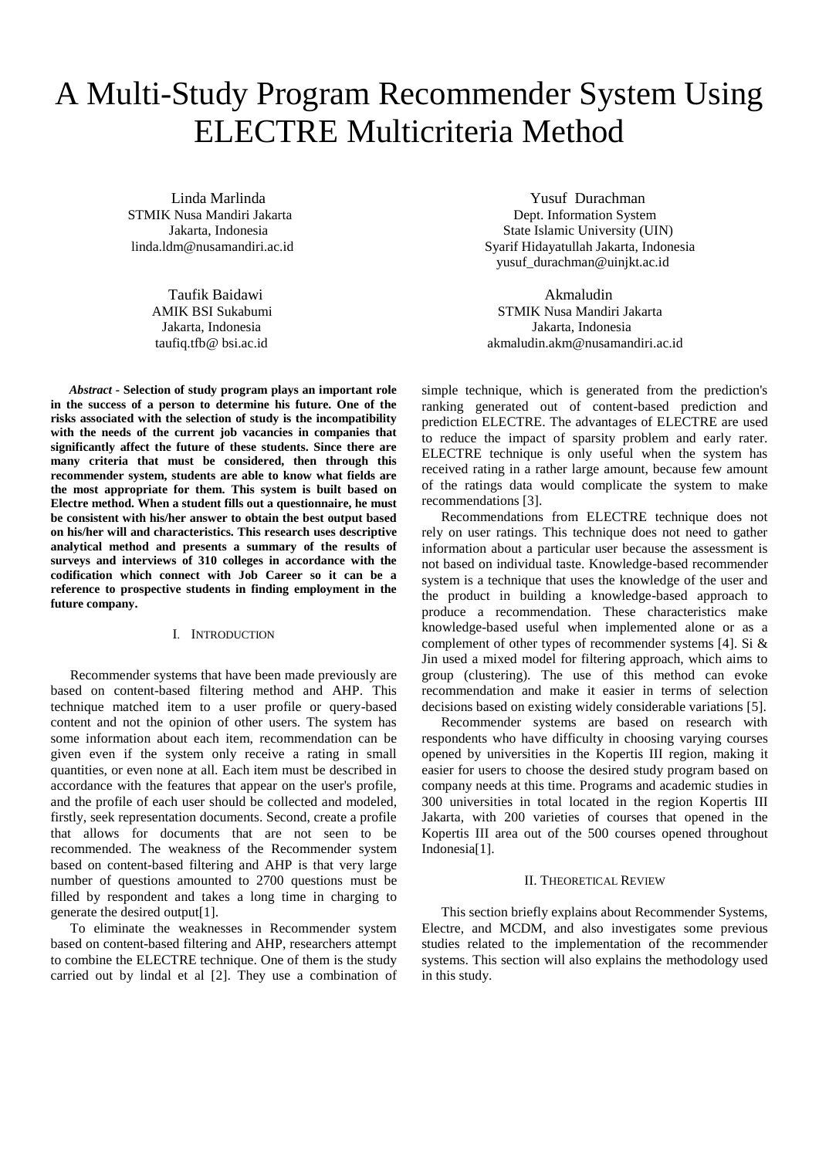# A Multi-Study Program Recommender System Using ELECTRE Multicriteria Method

*Abstract -* **Selection of study program plays an important role in the success of a person to determine his future. One of the risks associated with the selection of study is the incompatibility with the needs of the current job vacancies in companies that significantly affect the future of these students. Since there are many criteria that must be considered, then through this recommender system, students are able to know what fields are the most appropriate for them. This system is built based on Electre method. When a student fills out a questionnaire, he must be consistent with his/her answer to obtain the best output based on his/her will and characteristics. This research uses descriptive analytical method and presents a summary of the results of surveys and interviews of 310 colleges in accordance with the codification which connect with Job Career so it can be a reference to prospective students in finding employment in the future company.**

### I. INTRODUCTION

Recommender systems that have been made previously are based on content-based filtering method and AHP. This technique matched item to a user profile or query-based content and not the opinion of other users. The system has some information about each item, recommendation can be given even if the system only receive a rating in small quantities, or even none at all. Each item must be described in accordance with the features that appear on the user's profile, and the profile of each user should be collected and modeled, firstly, seek representation documents. Second, create a profile that allows for documents that are not seen to be recommended. The weakness of the Recommender system based on content-based filtering and AHP is that very large number of questions amounted to 2700 questions must be filled by respondent and takes a long time in charging to generate the desired output[1].

To eliminate the weaknesses in Recommender system based on content-based filtering and AHP, researchers attempt to combine the ELECTRE technique. One of them is the study carried out by lindal et al [2]. They use a combination of

 Linda Marlinda Yusuf Durachman STMIK Nusa Mandiri Jakarta 2002 - 2003 - 2014 Dept. Information System Jakarta, Indonesia State Islamic University (UIN) [linda.ldm@nusamandiri.ac.id](mailto:linda.ldm@nusamandiri.ac.id) Syarif Hidayatullah Jakarta, Indonesia [yusuf\\_durachman@uinjkt.ac.id](mailto:yusuf_durachman@uinjkt.ac.id)

Taufik Baidawi **Akmaludin** AMIK BSI Sukabumi STMIK Nusa Mandiri Jakarta Jakarta, Indonesia Jakarta, Indonesia taufiq.tfb@ bsi.ac.id [akmaludin.akm@nusamandiri.ac.id](mailto:akmaludin.akm@nusamandiri.ac.id)

> simple technique, which is generated from the prediction's ranking generated out of content-based prediction and prediction ELECTRE. The advantages of ELECTRE are used to reduce the impact of sparsity problem and early rater. ELECTRE technique is only useful when the system has received rating in a rather large amount, because few amount of the ratings data would complicate the system to make recommendations [3].

> Recommendations from ELECTRE technique does not rely on user ratings. This technique does not need to gather information about a particular user because the assessment is not based on individual taste. Knowledge-based recommender system is a technique that uses the knowledge of the user and the product in building a knowledge-based approach to produce a recommendation. These characteristics make knowledge-based useful when implemented alone or as a complement of other types of recommender systems [4]. Si & Jin used a mixed model for filtering approach, which aims to group (clustering). The use of this method can evoke recommendation and make it easier in terms of selection decisions based on existing widely considerable variations [5].

> Recommender systems are based on research with respondents who have difficulty in choosing varying courses opened by universities in the Kopertis III region, making it easier for users to choose the desired study program based on company needs at this time. Programs and academic studies in 300 universities in total located in the region Kopertis III Jakarta, with 200 varieties of courses that opened in the Kopertis III area out of the 500 courses opened throughout Indonesia[1].

### II. THEORETICAL REVIEW

This section briefly explains about Recommender Systems, Electre, and MCDM, and also investigates some previous studies related to the implementation of the recommender systems. This section will also explains the methodology used in this study.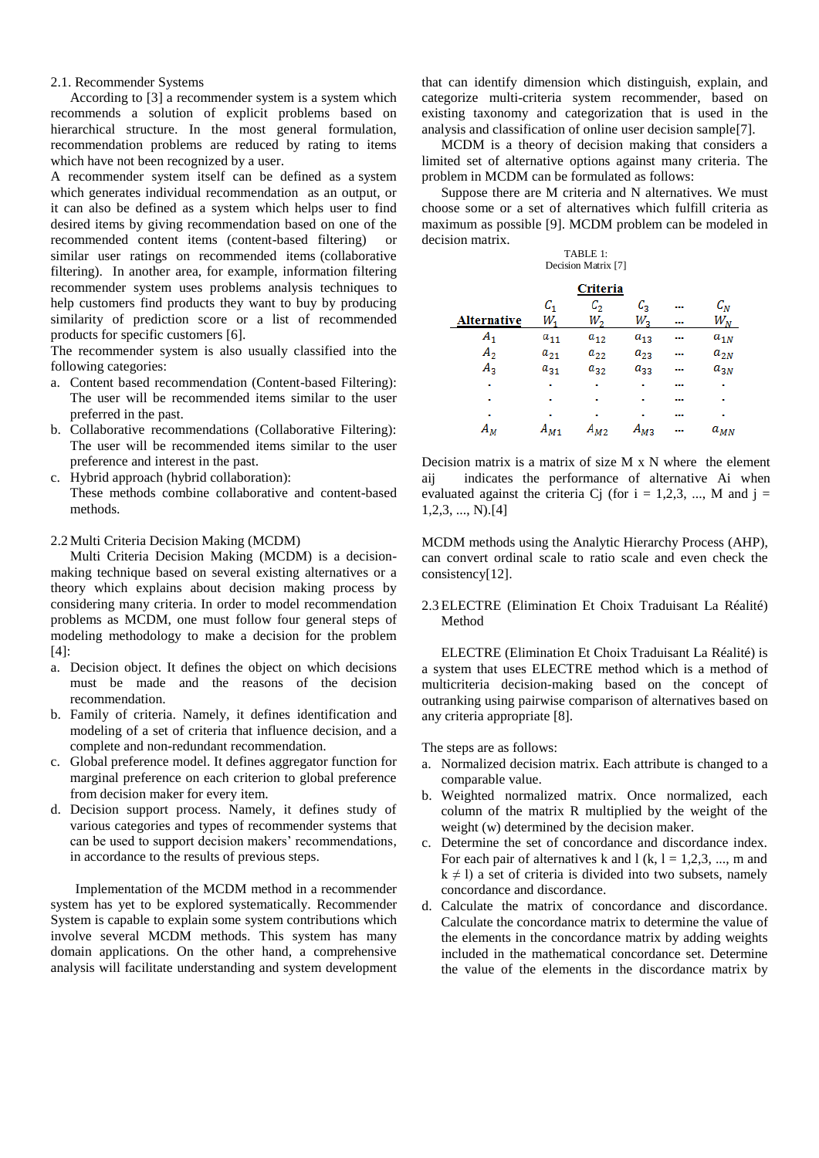# 2.1. Recommender Systems

According to [3] a recommender system is a system which recommends a solution of explicit problems based on hierarchical structure. In the most general formulation, recommendation problems are reduced by rating to items which have not been recognized by a user.

A recommender system itself can be defined as a system which generates individual recommendation as an output, or it can also be defined as a system which helps user to find desired items by giving recommendation based on one of the recommended content items (content-based filtering) or similar user ratings on recommended items (collaborative filtering). In another area, for example, information filtering recommender system uses problems analysis techniques to help customers find products they want to buy by producing similarity of prediction score or a list of recommended products for specific customers [6].

The recommender system is also usually classified into the following categories:

- a. Content based recommendation (Content-based Filtering): The user will be recommended items similar to the user preferred in the past.
- b. Collaborative recommendations (Collaborative Filtering): The user will be recommended items similar to the user preference and interest in the past.
- c. Hybrid approach (hybrid collaboration): These methods combine collaborative and content-based methods.

# 2.2 Multi Criteria Decision Making (MCDM)

Multi Criteria Decision Making (MCDM) is a decisionmaking technique based on several existing alternatives or a theory which explains about decision making process by considering many criteria. In order to model recommendation problems as MCDM, one must follow four general steps of modeling methodology to make a decision for the problem [4]:

- a. Decision object. It defines the object on which decisions must be made and the reasons of the decision recommendation.
- b. Family of criteria. Namely, it defines identification and modeling of a set of criteria that influence decision, and a complete and non-redundant recommendation.
- c. Global preference model. It defines aggregator function for marginal preference on each criterion to global preference from decision maker for every item.
- d. Decision support process. Namely, it defines study of various categories and types of recommender systems that can be used to support decision makers' recommendations, in accordance to the results of previous steps.

Implementation of the MCDM method in a recommender system has yet to be explored systematically. Recommender System is capable to explain some system contributions which involve several MCDM methods. This system has many domain applications. On the other hand, a comprehensive analysis will facilitate understanding and system development

that can identify dimension which distinguish, explain, and categorize multi-criteria system recommender, based on existing taxonomy and categorization that is used in the analysis and classification of online user decision sample[7].

MCDM is a theory of decision making that considers a limited set of alternative options against many criteria. The problem in MCDM can be formulated as follows:

Suppose there are M criteria and N alternatives. We must choose some or a set of alternatives which fulfill criteria as maximum as possible [9]. MCDM problem can be modeled in decision matrix. TABLE 1:

| Decision Matrix [7] |                 |                |                 |  |                            |  |  |
|---------------------|-----------------|----------------|-----------------|--|----------------------------|--|--|
| <b>Criteria</b>     |                 |                |                 |  |                            |  |  |
|                     | $\mathcal{C}_1$ | C <sub>2</sub> | $\mathcal{C}_3$ |  | $C_N$                      |  |  |
| <b>Alternative</b>  | w,              | w,             | w,              |  | $W_{\scriptscriptstyle N}$ |  |  |
| А,                  | $a_{11}$        | $a_{12}$       | $a_{13}$        |  | $a_{1N}$                   |  |  |
| A <sub>2</sub>      | $a_{21}$        | $a_{22}$       | $a_{23}$        |  | $a_{2N}$                   |  |  |
| $A_{\rm R}$         | $a_{31}$        | $a_{32}$       | $a_{33}$        |  | $a_{3N}$                   |  |  |
| ٠                   | ٠               | ٠              |                 |  | ٠                          |  |  |
| ٠                   | ٠               |                |                 |  | ٠                          |  |  |
| ٠                   | ٠               |                |                 |  | ٠                          |  |  |
| $A_M$               | $A_{M1}$        | $A_{M2}$       | $A_{M3}$        |  | $a_{MN}$                   |  |  |

Decision matrix is a matrix of size M x N where the element aij indicates the performance of alternative Ai when evaluated against the criteria C<sub>j</sub> (for  $i = 1,2,3, ...$ , M and  $j =$ 1,2,3, ..., N).[4]

MCDM methods using the Analytic Hierarchy Process (AHP), can convert ordinal scale to ratio scale and even check the consistency[12].

2.3 ELECTRE (Elimination Et Choix Traduisant La Réalité) Method

ELECTRE (Elimination Et Choix Traduisant La Réalité) is a system that uses ELECTRE method which is a method of multicriteria decision-making based on the concept of outranking using pairwise comparison of alternatives based on any criteria appropriate [8].

The steps are as follows:

- a. Normalized decision matrix. Each attribute is changed to a comparable value.
- b. Weighted normalized matrix. Once normalized, each column of the matrix R multiplied by the weight of the weight (w) determined by the decision maker.
- c. Determine the set of concordance and discordance index. For each pair of alternatives k and  $l$  (k,  $l = 1,2,3, ..., m$  and  $k \neq 1$ ) a set of criteria is divided into two subsets, namely concordance and discordance.
- d. Calculate the matrix of concordance and discordance. Calculate the concordance matrix to determine the value of the elements in the concordance matrix by adding weights included in the mathematical concordance set. Determine the value of the elements in the discordance matrix by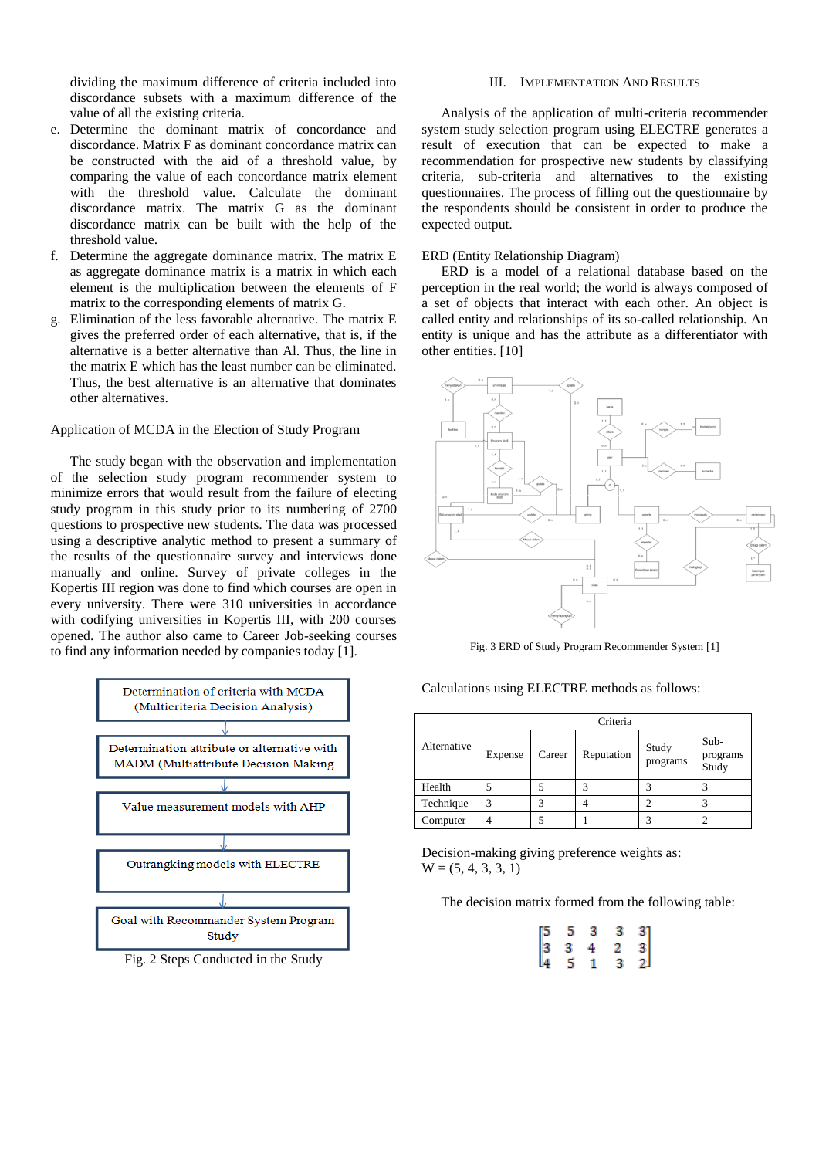dividing the maximum difference of criteria included into discordance subsets with a maximum difference of the value of all the existing criteria.

- e. Determine the dominant matrix of concordance and discordance. Matrix F as dominant concordance matrix can be constructed with the aid of a threshold value, by comparing the value of each concordance matrix element with the threshold value. Calculate the dominant discordance matrix. The matrix G as the dominant discordance matrix can be built with the help of the threshold value.
- f. Determine the aggregate dominance matrix. The matrix E as aggregate dominance matrix is a matrix in which each element is the multiplication between the elements of F matrix to the corresponding elements of matrix G.
- g. Elimination of the less favorable alternative. The matrix E gives the preferred order of each alternative, that is, if the alternative is a better alternative than Al. Thus, the line in the matrix E which has the least number can be eliminated. Thus, the best alternative is an alternative that dominates other alternatives.

# Application of MCDA in the Election of Study Program

The study began with the observation and implementation of the selection study program recommender system to minimize errors that would result from the failure of electing study program in this study prior to its numbering of 2700 questions to prospective new students. The data was processed using a descriptive analytic method to present a summary of the results of the questionnaire survey and interviews done manually and online. Survey of private colleges in the Kopertis III region was done to find which courses are open in every university. There were 310 universities in accordance with codifying universities in Kopertis III, with 200 courses opened. The author also came to Career Job-seeking courses to find any information needed by companies today [1].



Fig. 2 Steps Conducted in the Study

# III. IMPLEMENTATION AND RESULTS

Analysis of the application of multi-criteria recommender system study selection program using ELECTRE generates a result of execution that can be expected to make a recommendation for prospective new students by classifying criteria, sub-criteria and alternatives to the existing questionnaires. The process of filling out the questionnaire by the respondents should be consistent in order to produce the expected output.

# ERD (Entity Relationship Diagram)

ERD is a model of a relational database based on the perception in the real world; the world is always composed of a set of objects that interact with each other. An object is called entity and relationships of its so-called relationship. An entity is unique and has the attribute as a differentiator with other entities. [10]



Fig. 3 ERD of Study Program Recommender System [1]

Calculations using ELECTRE methods as follows:

|             | Criteria |        |            |                   |                           |
|-------------|----------|--------|------------|-------------------|---------------------------|
| Alternative | Expense  | Career | Reputation | Study<br>programs | Sub-<br>programs<br>Study |
| Health      |          |        |            |                   |                           |
| Technique   | 3        |        |            |                   |                           |
| Computer    |          |        |            |                   |                           |

Decision-making giving preference weights as:  $W = (5, 4, 3, 3, 1)$ 

The decision matrix formed from the following table:

| $\begin{bmatrix} 5 \\ 3 \\ 4 \end{bmatrix}$ | 5 <sub>1</sub> | -3 | $\mathbf{3}$  | $\begin{bmatrix} 3 \\ 3 \\ 2 \end{bmatrix}$ |
|---------------------------------------------|----------------|----|---------------|---------------------------------------------|
|                                             | 3 <sup>7</sup> | 4  |               |                                             |
|                                             | $\overline{5}$ | -1 | $\frac{2}{3}$ |                                             |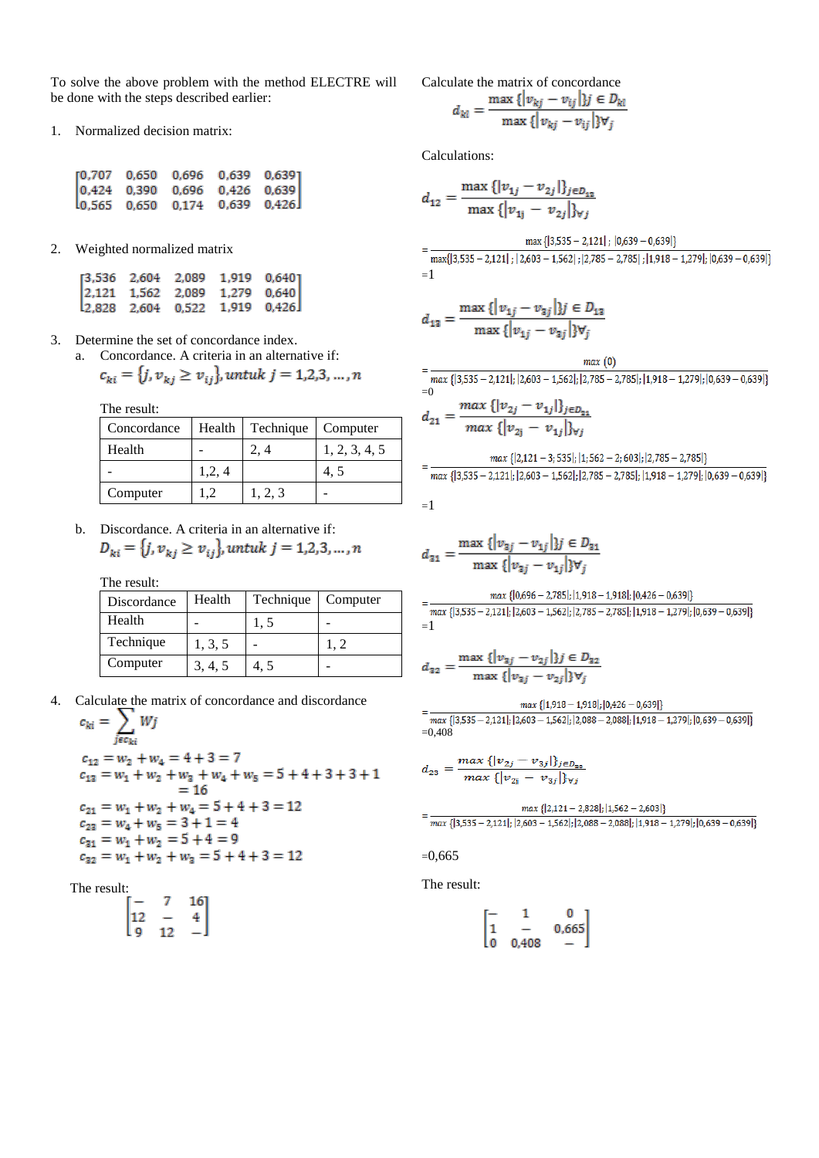To solve the above problem with the method ELECTRE will be done with the steps described earlier:

1. Normalized decision matrix:

|  | 0,707 0,650 0,696 0,639 0,639<br>0,424 0,390 0,696 0,426 0,639<br>l0,565 0,650 0,174 0,639 0,426 |  |
|--|--------------------------------------------------------------------------------------------------|--|
|  |                                                                                                  |  |

2. Weighted normalized matrix

|  | 3,536  2,604  2,089  1,919  0,640<br>2,121  1,562  2,089  1,279  0,640<br>2,828  2,604  0,522  1,919  0,426 |  |
|--|-------------------------------------------------------------------------------------------------------------|--|
|  |                                                                                                             |  |

- 3. Determine the set of concordance index.
	- a. Concordance. A criteria in an alternative if:<br> $c_{ki} = \{j, v_{kj} \ge v_{ij}\}\text{, untuk } j = 1, 2, 3, ..., n$

The result:

| Concordance | Health | Technique | Computer      |
|-------------|--------|-----------|---------------|
| Health      |        | 2,4       | 1, 2, 3, 4, 5 |
|             | 1,2,4  |           | 4.5           |
| Computer    |        | 1, 2, 3   |               |

b. Discordance. A criteria in an alternative if: r.  $-122$ 

$$
D_{ki} = \{j, v_{kj} \ge v_{ij}\}, \text{untuk } j = 1, 2, 3, ..., n
$$

The result:

| Discordance | Health  | Technique   Computer |  |
|-------------|---------|----------------------|--|
| Health      |         | 1. 5                 |  |
| Technique   | 1, 3, 5 |                      |  |
| Computer    | 3, 4, 5 |                      |  |

4. Calculate the matrix of concordance and discordance

$$
c_{ki} = \sum_{j \in c_{ki}} Wj
$$

$$
c_{ki} = w_i + w_{ij}
$$

 $\begin{array}{l} c_{12}=w_2+w_4=4+3=7\\ c_{13}=w_1+w_2+w_3+w_4+w_5=5+4+3+3+1\\ =16 \end{array}$  $\begin{split} c_{21} &= w_1 + w_2 + w_4 = 5 + 4 + 3 = 12 \\ c_{23} &= w_4 + w_5 = 3 + 1 = 4 \end{split}$  $c_{31} = w_1 + w_2 = 5 + 4 = 9$ <br>  $c_{32} = w_1 + w_2 + w_3 = 5 + 4 + 3 = 12$ 

The result:<br> $\begin{bmatrix} - & 7 & 16 \\ 12 & - & 4 \\ 9 & 12 & - \end{bmatrix}$ 

Calculate the matrix of concordance  

$$
d_{kl} = \frac{\max \{ |v_{kj} - v_{ij}| \} j \in D_{kl}}{\max \{ |v_{kj} - v_{ij}| \} \forall j}
$$

Calculations:

$$
d_{12} = \frac{\max \{ |v_{1j} - v_{2j}| \}_{j \in D_{12}}}{\max \{ |v_{1j} - v_{2j}| \}_{\forall j}}
$$
  
\n
$$
= \frac{\max \{ |3,535 - 2,121|; |0,639 - 0,639| \}}{\max \{ |3,535 - 2,121|; |2,603 - 1,562|; |2,785 - 2,785|; |1,918 - 1,279|; |0,639 - 0,639| \}}]
$$
  
\n
$$
= 1
$$
  
\n
$$
d_{13} = \frac{\max \{ |v_{1j} - v_{2j}| \} j \in D_{13}}{\max \{ |v_{1j} - v_{2j}| \} \forall j}
$$
  
\n
$$
= \frac{\max (0)}{\max \{ |3,535 - 2,121|; |2,603 - 1,562|; |2,785 - 2,785|; |1,918 - 1,279|; |0,639 - 0,639| \}} = 0
$$
  
\n
$$
d_{21} = \frac{\max \{ |v_{2j} - v_{1j}| \}_{j \in D_{21}}}{\max \{ |v_{2j} - v_{1j}| \}_{\forall j}}
$$
  
\n
$$
= \frac{\max \{ |2,121 - 3;535|; |1,562 - 2;603|; |2,785 - 2,785| \}}{\max \{ |3,535 - 2,121|; |2,603 - 1,562|; |2,785 - 2,785|; |1,918 - 1,279|; |0,639 - 0,639| \}}
$$

 $=1$ 

$$
d_{31} = \frac{\max\{|v_{3j} - v_{1j}|\}j \in D_{31}}{\max\{|v_{3j} - v_{1j}|\} \forall j}
$$

$$
=\frac{max \{[0,696-2,785]; [1,918-1,918]; [0,426-0,639]\}}{max \{[3,535-2,121]; [2,603-1,562]; [2,785-2,785]; [1,918-1,279]; [0,639-0,639]\}}\\=1
$$

$$
d_{32}=\frac{\max\:\left\{\left|v_{3j}-v_{2j}\right|\right\}j\in D_{32}}{\max\:\left\{\left|v_{3j}-v_{2j}\right|\right\} \mathsf{V}_{j}}
$$

 $max \{ |1,918 - 1,918|, |0,426 - 0,639| \}$  $=\frac{1}{max\{3,535-2,121\};[2,603-1,562];[2,088-2,088];[1,918-1,279];[0,639-0,639]}\}$ <br>=0.408

$$
d_{23} = \frac{max\{|v_{2j} - v_{3j}|\}_{j \in D_{23}}}{max\{|v_{2j} - v_{3j}|\}_{\forall j}}
$$

$$
=\frac{max\left\{[2,121-2,828];[1,562-2,603]\right\}}{max\left\{[3,535-2,121];[2,603-1,562];[2,088-2,088];[1,918-1,279];[0,639-0,639]\right\}}
$$

# $=0.665$

The result:

$$
\begin{bmatrix} - & 1 & 0 \\ 1 & - & 0.665 \\ 0 & 0.408 & - \end{bmatrix}
$$